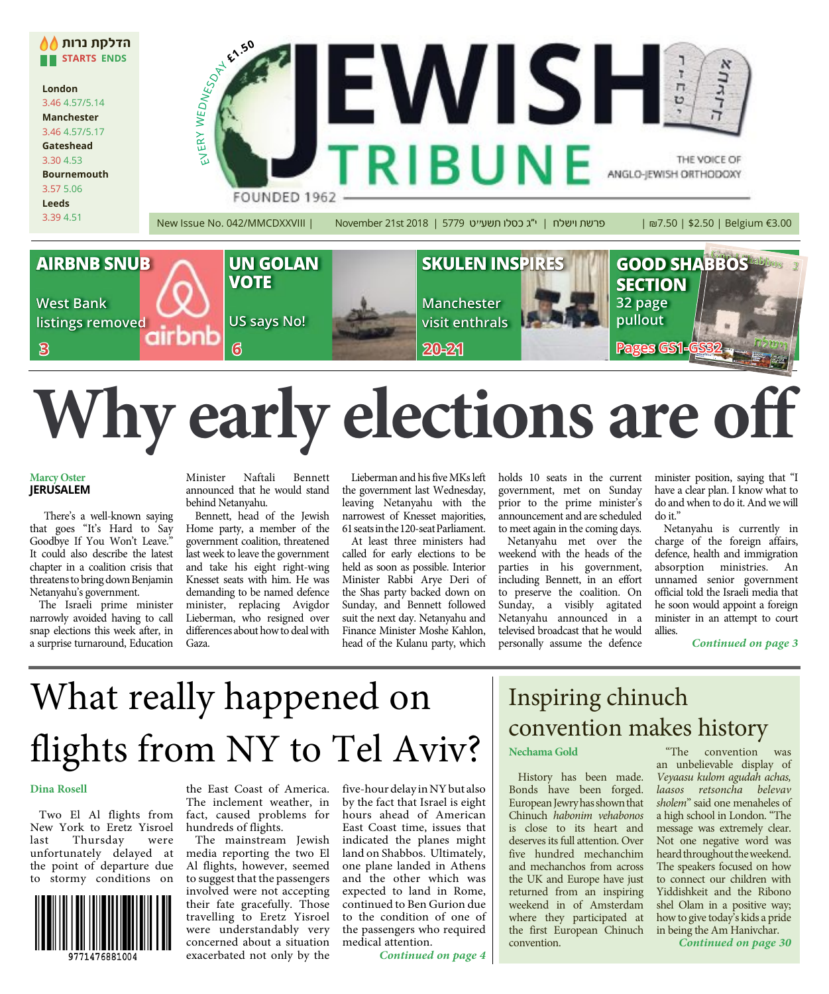

# **Why early elections are off**

#### **Marcy Oster JERUSALEM**

There's a well-known saying that goes "It's Hard to Say Goodbye If You Won't Leave." It could also describe the latest chapter in a coalition crisis that threatens to bring down Benjamin Netanyahu's government.

The Israeli prime minister narrowly avoided having to call snap elections this week after, in a surprise turnaround, Education

Minister Naftali Bennett announced that he would stand behind Netanyahu.

Bennett, head of the Jewish Home party, a member of the government coalition, threatened last week to leave the government and take his eight right-wing Knesset seats with him. He was demanding to be named defence minister, replacing Avigdor Lieberman, who resigned over differences about how to deal with Gaza.

Lieberman and his five MKs left the government last Wednesday, leaving Netanyahu with the narrowest of Knesset majorities, 61 seats in the 120-seat Parliament.

At least three ministers had called for early elections to be held as soon as possible. Interior Minister Rabbi Arye Deri of the Shas party backed down on Sunday, and Bennett followed suit the next day. Netanyahu and Finance Minister Moshe Kahlon, head of the Kulanu party, which

holds 10 seats in the current government, met on Sunday prior to the prime minister's announcement and are scheduled to meet again in the coming days.

Netanyahu met over the weekend with the heads of the parties in his government, including Bennett, in an effort to preserve the coalition. On Sunday, a visibly agitated Netanyahu announced in a televised broadcast that he would personally assume the defence

minister position, saying that "I have a clear plan. I know what to do and when to do it. And we will do it."

Netanyahu is currently in charge of the foreign affairs, defence, health and immigration absorption ministries. An unnamed senior government official told the Israeli media that he soon would appoint a foreign minister in an attempt to court allies.

**Continued on page 3**

## What really happened on flights from NY to Tel Aviv?

#### **Dina Rosell**

Two El Al flights from New York to Eretz Yisroel last Thursday were unfortunately delayed at the point of departure due to stormy conditions on



the East Coast of America. The inclement weather, in fact, caused problems for hundreds of flights.

The mainstream Jewish media reporting the two El Al flights, however, seemed to suggest that the passengers involved were not accepting their fate gracefully. Those travelling to Eretz Yisroel were understandably very concerned about a situation exacerbated not only by the

five-hour delay in NY but also by the fact that Israel is eight hours ahead of American East Coast time, issues that indicated the planes might land on Shabbos. Ultimately, one plane landed in Athens and the other which was expected to land in Rome, continued to Ben Gurion due to the condition of one of the passengers who required medical attention.

**Continued on page 4**

## Inspiring chinuch convention makes history

History has been made. Bonds have been forged. European Jewry has shown that Chinuch habonim vehabonos is close to its heart and deserves its full attention. Over five hundred mechanchim and mechanchos from across the UK and Europe have just returned from an inspiring weekend in of Amsterdam where they participated at the first European Chinuch convention.

"The convention was an unbelievable display of Veyaasu kulom agudah achas, laasos retsoncha belevav sholem" said one menaheles of a high school in London. "The message was extremely clear. Not one negative word was heard throughout the weekend. The speakers focused on how to connect our children with Yiddishkeit and the Ribono shel Olam in a positive way; howto give today's kids a pride in being the Am Hanivchar.

**Continued on page 30**